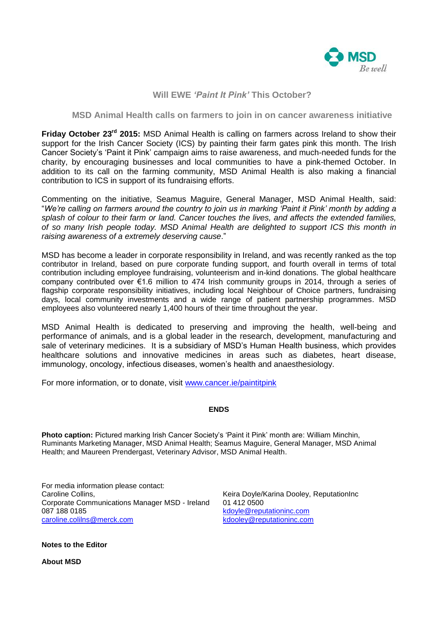

## **Will EWE** *'Paint It Pink'* **This October?**

## **MSD Animal Health calls on farmers to join in on cancer awareness initiative**

**Friday October 23rd 2015:** MSD Animal Health is calling on farmers across Ireland to show their support for the Irish Cancer Society (ICS) by painting their farm gates pink this month. The Irish Cancer Society's 'Paint it Pink' campaign aims to raise awareness, and much-needed funds for the charity, by encouraging businesses and local communities to have a pink-themed October. In addition to its call on the farming community, MSD Animal Health is also making a financial contribution to ICS in support of its fundraising efforts.

Commenting on the initiative, Seamus Maguire, General Manager, MSD Animal Health, said: "*We're calling on farmers around the country to join us in marking 'Paint it Pink' month by adding a splash of colour to their farm or land. Cancer touches the lives, and affects the extended families, of so many Irish people today. MSD Animal Health are delighted to support ICS this month in raising awareness of a extremely deserving cause*."

MSD has become a leader in corporate responsibility in Ireland, and was recently ranked as the top contributor in Ireland, based on pure corporate funding support, and fourth overall in terms of total contribution including employee fundraising, volunteerism and in-kind donations. The global healthcare company contributed over €1.6 million to 474 Irish community groups in 2014, through a series of flagship corporate responsibility initiatives, including local Neighbour of Choice partners, fundraising days, local community investments and a wide range of patient partnership programmes. MSD employees also volunteered nearly 1,400 hours of their time throughout the year.

MSD Animal Health is dedicated to preserving and improving the health, well-being and performance of animals, and is a global leader in the research, development, manufacturing and sale of veterinary medicines. It is a subsidiary of MSD's Human Health business, which provides healthcare solutions and innovative medicines in areas such as diabetes, heart disease, immunology, oncology, infectious diseases, women's health and anaesthesiology.

For more information, or to donate, visit [www.cancer.ie/paintitpink](http://www.cancer.ie/paintitpink)

## **ENDS**

**Photo caption:** Pictured marking Irish Cancer Society's 'Paint it Pink' month are: William Minchin, Ruminants Marketing Manager, MSD Animal Health; Seamus Maguire, General Manager, MSD Animal Health; and Maureen Prendergast, Veterinary Advisor, MSD Animal Health.

For media information please contact: Caroline Collins, Corporate Communications Manager MSD - Ireland 087 188 0185 [caroline.colilns@merck.com](mailto:caroline.colilns@merck.com)

Keira Doyle/Karina Dooley, ReputationInc 01 412 0500 [kdoyle@reputationinc.com](mailto:kdoyle@reputationinc.com)  [kdooley@reputationinc.com](mailto:kdooley@reputationinc.com)

**Notes to the Editor**

**About MSD**